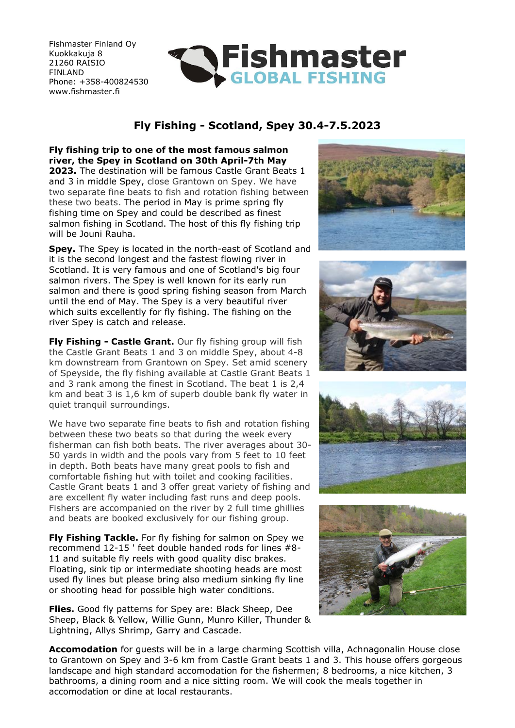Fishmaster Finland Oy Kuokkakuja 8 21260 RAISIO FINLAND Phone: +358-400824530 www.fishmaster.fi



# **Fly Fishing - Scotland, Spey 30.4-7.5.2023**

**Fly fishing trip to one of the most famous salmon river, the Spey in Scotland on 30th April-7th May 2023.** The destination will be famous Castle Grant Beats 1 and 3 in middle Spey, close Grantown on Spey. We have two separate fine beats to fish and rotation fishing between these two beats. The period in May is prime spring fly fishing time on Spey and could be described as finest salmon fishing in Scotland. The host of this fly fishing trip will be Jouni Rauha.

**Spey.** The Spey is located in the north-east of Scotland and it is the second longest and the fastest flowing river in Scotland. It is very famous and one of Scotland's big four salmon rivers. The Spey is well known for its early run salmon and there is good spring fishing season from March until the end of May. The Spey is a very beautiful river which suits excellently for fly fishing. The fishing on the river Spey is catch and release.

**Fly Fishing - Castle Grant.** Our fly fishing group will fish the Castle Grant Beats 1 and 3 on middle Spey, about 4-8 km downstream from Grantown on Spey. Set amid scenery of Speyside, the fly fishing available at Castle Grant Beats 1 and 3 rank among the finest in Scotland. The beat 1 is 2,4 km and beat 3 is 1,6 km of superb double bank fly water in quiet tranquil surroundings.

We have two separate fine beats to fish and rotation fishing between these two beats so that during the week every fisherman can fish both beats. The river averages about 30- 50 yards in width and the pools vary from 5 feet to 10 feet in depth. Both beats have many great pools to fish and comfortable fishing hut with toilet and cooking facilities. Castle Grant beats 1 and 3 offer great variety of fishing and are excellent fly water including fast runs and deep pools. Fishers are accompanied on the river by 2 full time ghillies and beats are booked exclusively for our fishing group.

**Fly Fishing Tackle.** For fly fishing for salmon on Spey we recommend 12-15 ' feet double handed rods for lines #8- 11 and suitable fly reels with good quality disc brakes. Floating, sink tip or intermediate shooting heads are most used fly lines but please bring also medium sinking fly line or shooting head for possible high water conditions.

**Flies.** Good fly patterns for Spey are: Black Sheep, Dee Sheep, Black & Yellow, Willie Gunn, Munro Killer, Thunder & Lightning, Allys Shrimp, Garry and Cascade.









**Accomodation** for guests will be in a large charming Scottish villa, Achnagonalin House close to Grantown on Spey and 3-6 km from Castle Grant beats 1 and 3. This house offers gorgeous landscape and high standard accomodation for the fishermen; 8 bedrooms, a nice kitchen, 3 bathrooms, a dining room and a nice sitting room. We will cook the meals together in accomodation or dine at local restaurants.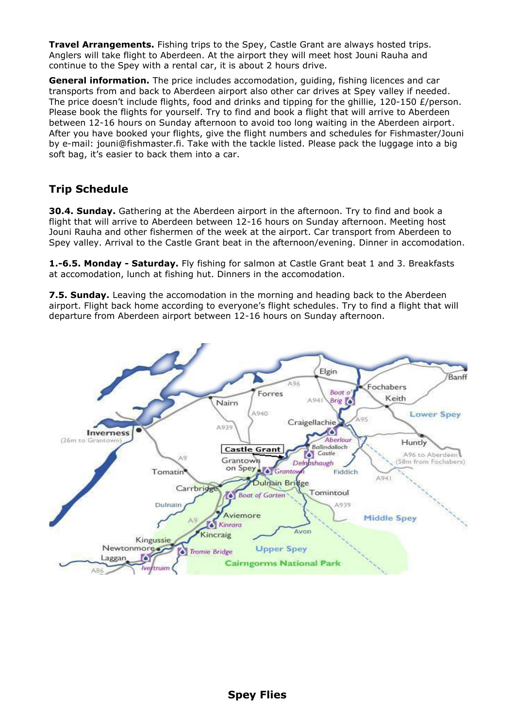**Travel Arrangements.** Fishing trips to the Spey, Castle Grant are always hosted trips. Anglers will take flight to Aberdeen. At the airport they will meet host Jouni Rauha and continue to the Spey with a rental car, it is about 2 hours drive.

**General information.** The price includes accomodation, guiding, fishing licences and car transports from and back to Aberdeen airport also other car drives at Spey valley if needed. The price doesn't include flights, food and drinks and tipping for the ghillie, 120-150  $E$ /person. Please book the flights for yourself. Try to find and book a flight that will arrive to Aberdeen between 12-16 hours on Sunday afternoon to avoid too long waiting in the Aberdeen airport. After you have booked your flights, give the flight numbers and schedules for Fishmaster/Jouni by e-mail: jouni@fishmaster.fi. Take with the tackle listed. Please pack the luggage into a big soft bag, it's easier to back them into a car.

## **Trip Schedule**

**30.4. Sunday.** Gathering at the Aberdeen airport in the afternoon. Try to find and book a flight that will arrive to Aberdeen between 12-16 hours on Sunday afternoon. Meeting host Jouni Rauha and other fishermen of the week at the airport. Car transport from Aberdeen to Spey valley. Arrival to the Castle Grant beat in the afternoon/evening. Dinner in accomodation.

**1.-6.5. Monday - Saturday.** Fly fishing for salmon at Castle Grant beat 1 and 3. Breakfasts at accomodation, lunch at fishing hut. Dinners in the accomodation.

**7.5. Sunday.** Leaving the accomodation in the morning and heading back to the Aberdeen airport. Flight back home according to everyone's flight schedules. Try to find a flight that will departure from Aberdeen airport between 12-16 hours on Sunday afternoon.

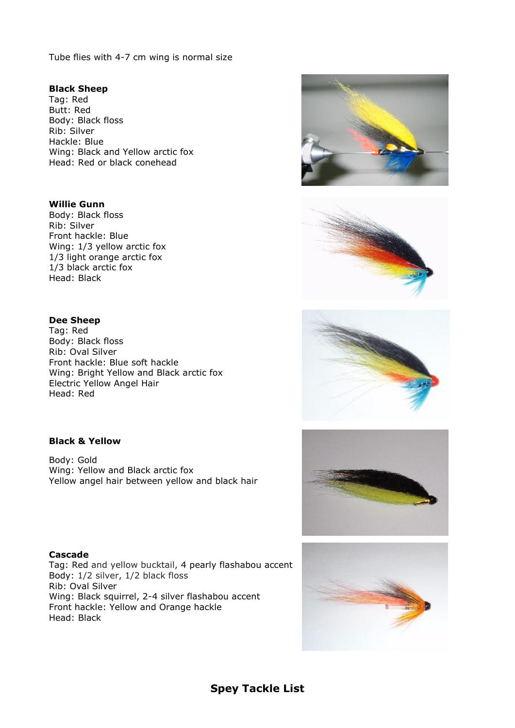Tube flies with 4-7 cm wing is normal size

#### **Black Sheep**

Tag: Red Butt: Red Body: Black floss Rib: Silver Hackle: Blue Wing: Black and Yellow arctic fox Head: Red or black conehead

#### **Willie Gunn**

Body: Black floss Rib: Silver Front hackle: Blue Wing: 1/3 yellow arctic fox 1/3 light orange arctic fox 1/3 black arctic fox Head: Black

### **Dee Sheep**

Tag: Red Body: Black floss Rib: Oval Silver Front hackle: Blue soft hackle Wing: Bright Yellow and Black arctic fox Electric Yellow Angel Hair Head: Red

#### **Black & Yellow**

Body: Gold Wing: Yellow and Black arctic fox Yellow angel hair between yellow and black hair

#### **Cascade**

Tag: Red and yellow bucktail, 4 pearly flashabou accent Body: 1/2 silver, 1/2 black floss Rib: Oval Silver Wing: Black squirrel, 2-4 silver flashabou accent Front hackle: Yellow and Orange hackle Head: Black